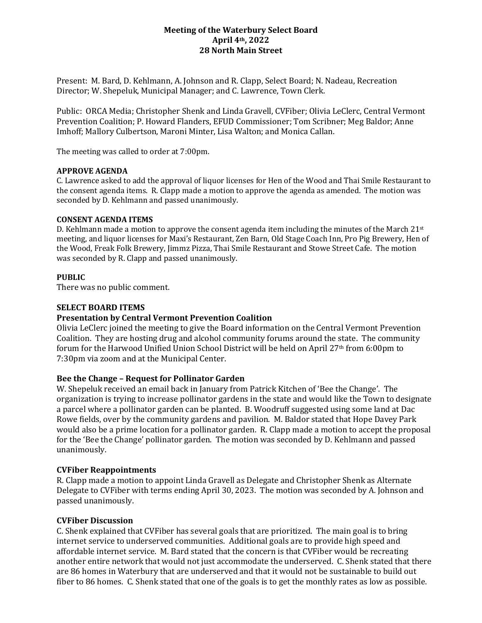### **Meeting of the Waterbury Select Board April 4th, 2022 28 North Main Street**

Present: M. Bard, D. Kehlmann, A. Johnson and R. Clapp, Select Board; N. Nadeau, Recreation Director; W. Shepeluk, Municipal Manager; and C. Lawrence, Town Clerk.

Public: ORCA Media; Christopher Shenk and Linda Gravell, CVFiber; Olivia LeClerc, Central Vermont Prevention Coalition; P. Howard Flanders, EFUD Commissioner; Tom Scribner; Meg Baldor; Anne Imhoff; Mallory Culbertson, Maroni Minter, Lisa Walton; and Monica Callan.

The meeting was called to order at 7:00pm.

#### **APPROVE AGENDA**

C. Lawrence asked to add the approval of liquor licenses for Hen of the Wood and Thai Smile Restaurant to the consent agenda items. R. Clapp made a motion to approve the agenda as amended. The motion was seconded by D. Kehlmann and passed unanimously.

#### **CONSENT AGENDA ITEMS**

D. Kehlmann made a motion to approve the consent agenda item including the minutes of the March 21<sup>st</sup> meeting, and liquor licenses for Maxi's Restaurant, Zen Barn, Old Stage Coach Inn, Pro Pig Brewery, Hen of the Wood, Freak Folk Brewery, Jimmz Pizza, Thai Smile Restaurant and Stowe Street Cafe. The motion was seconded by R. Clapp and passed unanimously.

#### **PUBLIC**

There was no public comment.

#### **SELECT BOARD ITEMS**

#### **Presentation by Central Vermont Prevention Coalition**

Olivia LeClerc joined the meeting to give the Board information on the Central Vermont Prevention Coalition. They are hosting drug and alcohol community forums around the state. The community forum for the Harwood Unified Union School District will be held on April 27th from 6:00pm to 7:30pm via zoom and at the Municipal Center.

#### **Bee the Change – Request for Pollinator Garden**

W. Shepeluk received an email back in January from Patrick Kitchen of 'Bee the Change'. The organization is trying to increase pollinator gardens in the state and would like the Town to designate a parcel where a pollinator garden can be planted. B. Woodruff suggested using some land at Dac Rowe fields, over by the community gardens and pavilion. M. Baldor stated that Hope Davey Park would also be a prime location for a pollinator garden. R. Clapp made a motion to accept the proposal for the 'Bee the Change' pollinator garden. The motion was seconded by D. Kehlmann and passed unanimously.

#### **CVFiber Reappointments**

R. Clapp made a motion to appoint Linda Gravell as Delegate and Christopher Shenk as Alternate Delegate to CVFiber with terms ending April 30, 2023. The motion was seconded by A. Johnson and passed unanimously.

#### **CVFiber Discussion**

C. Shenk explained that CVFiber has several goals that are prioritized. The main goal is to bring internet service to underserved communities. Additional goals are to provide high speed and affordable internet service. M. Bard stated that the concern is that CVFiber would be recreating another entire network that would not just accommodate the underserved. C. Shenk stated that there are 86 homes in Waterbury that are underserved and that it would not be sustainable to build out fiber to 86 homes. C. Shenk stated that one of the goals is to get the monthly rates as low as possible.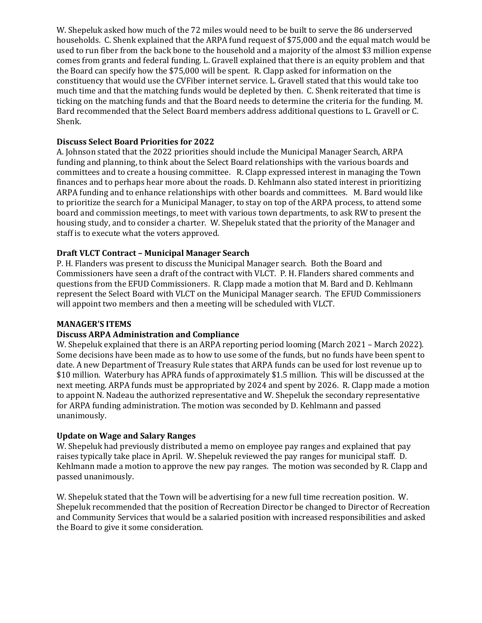W. Shepeluk asked how much of the 72 miles would need to be built to serve the 86 underserved households. C. Shenk explained that the ARPA fund request of \$75,000 and the equal match would be used to run fiber from the back bone to the household and a majority of the almost \$3 million expense comes from grants and federal funding. L. Gravell explained that there is an equity problem and that the Board can specify how the \$75,000 will be spent. R. Clapp asked for information on the constituency that would use the CVFiber internet service. L. Gravell stated that this would take too much time and that the matching funds would be depleted by then. C. Shenk reiterated that time is ticking on the matching funds and that the Board needs to determine the criteria for the funding. M. Bard recommended that the Select Board members address additional questions to L. Gravell or C. Shenk.

## **Discuss Select Board Priorities for 2022**

A. Johnson stated that the 2022 priorities should include the Municipal Manager Search, ARPA funding and planning, to think about the Select Board relationships with the various boards and committees and to create a housing committee. R. Clapp expressed interest in managing the Town finances and to perhaps hear more about the roads. D. Kehlmann also stated interest in prioritizing ARPA funding and to enhance relationships with other boards and committees. M. Bard would like to prioritize the search for a Municipal Manager, to stay on top of the ARPA process, to attend some board and commission meetings, to meet with various town departments, to ask RW to present the housing study, and to consider a charter. W. Shepeluk stated that the priority of the Manager and staff is to execute what the voters approved.

# **Draft VLCT Contract – Municipal Manager Search**

P. H. Flanders was present to discuss the Municipal Manager search. Both the Board and Commissioners have seen a draft of the contract with VLCT. P. H. Flanders shared comments and questions from the EFUD Commissioners. R. Clapp made a motion that M. Bard and D. Kehlmann represent the Select Board with VLCT on the Municipal Manager search. The EFUD Commissioners will appoint two members and then a meeting will be scheduled with VLCT.

## **MANAGER'S ITEMS**

## **Discuss ARPA Administration and Compliance**

W. Shepeluk explained that there is an ARPA reporting period looming (March 2021 – March 2022). Some decisions have been made as to how to use some of the funds, but no funds have been spent to date. A new Department of Treasury Rule states that ARPA funds can be used for lost revenue up to \$10 million. Waterbury has APRA funds of approximately \$1.5 million. This will be discussed at the next meeting. ARPA funds must be appropriated by 2024 and spent by 2026. R. Clapp made a motion to appoint N. Nadeau the authorized representative and W. Shepeluk the secondary representative for ARPA funding administration. The motion was seconded by D. Kehlmann and passed unanimously.

## **Update on Wage and Salary Ranges**

W. Shepeluk had previously distributed a memo on employee pay ranges and explained that pay raises typically take place in April. W. Shepeluk reviewed the pay ranges for municipal staff. D. Kehlmann made a motion to approve the new pay ranges. The motion was seconded by R. Clapp and passed unanimously.

W. Shepeluk stated that the Town will be advertising for a new full time recreation position. W. Shepeluk recommended that the position of Recreation Director be changed to Director of Recreation and Community Services that would be a salaried position with increased responsibilities and asked the Board to give it some consideration.